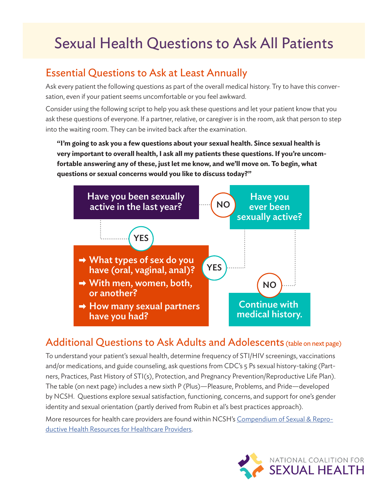## Sexual Health Questions to Ask All Patients

## Essential Questions to Ask at Least Annually

Ask every patient the following questions as part of the overall medical history. Try to have this conversation, even if your patient seems uncomfortable or you feel awkward.

Consider using the following script to help you ask these questions and let your patient know that you ask these questions of everyone. If a partner, relative, or caregiver is in the room, ask that person to step into the waiting room. They can be invited back after the examination.

**"I'm going to ask you a few questions about your sexual health. Since sexual health is very important to overall health, I ask all my patients these questions. If you're uncomfortable answering any of these, just let me know, and we'll move on. To begin, what questions or sexual concerns would you like to discuss today?"**



## Additional Questions to Ask Adults and Adolescents (table on next page)

To understand your patient's sexual health, determine frequency of STI/HIV screenings, vaccinations and/or medications, and guide counseling, ask questions from CDC's 5 Ps sexual history-taking (Partners, Practices, Past History of STI(s), Protection, and Pregnancy Prevention/Reproductive Life Plan). The table (on next page) includes a new sixth P (Plus)—Pleasure, Problems, and Pride—developed by NCSH. Questions explore sexual satisfaction, functioning, concerns, and support for one's gender identity and sexual orientation (partly derived from Rubin et al's best practices approach).

More resources for health care providers are found within NCSH's [Compendium of Sexual & Repro](https://nationalcoalitionforsexualhealth.org/tools/for-healthcare-providers/compendium-of-sexual-reproductive-health-resources-for-healthcare-providers)[ductive Health Resources for Healthcare Providers](https://nationalcoalitionforsexualhealth.org/tools/for-healthcare-providers/compendium-of-sexual-reproductive-health-resources-for-healthcare-providers).